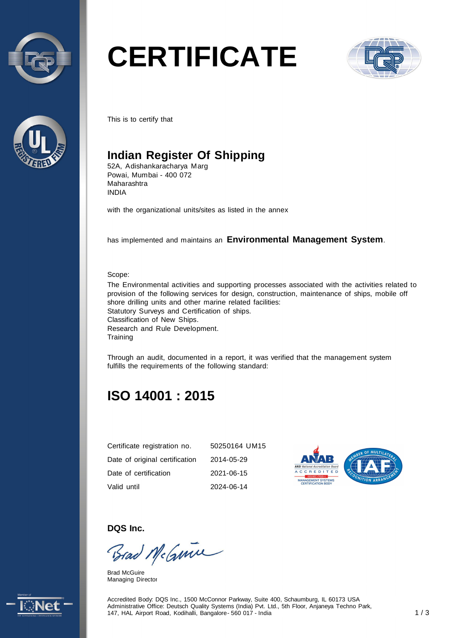



# **CERTIFICATE**



This is to certify that

## **Indian Register Of Shipping**

52A, Adishankaracharya Marg Powai, Mumbai - 400 072 Maharashtra INDIA

with the organizational units/sites as listed in the annex

has implemented and maintains an **Environmental Management System**.

#### Scope:

The Environmental activities and supporting processes associated with the activities related to provision of the following services for design, construction, maintenance of ships, mobile off shore drilling units and other marine related facilities: Statutory Surveys and Certification of ships. Classification of New Ships. Research and Rule Development. **Training** 

Through an audit, documented in a report, it was verified that the management system fulfills the requirements of the following standard:

# **ISO 14001 : 2015**

| Certificate registration no.   | 50250164 UM15 |
|--------------------------------|---------------|
| Date of original certification | 2014-05-29    |
| Date of certification          | 2021-06-15    |
| Valid until                    | 2024-06-14    |



**DQS Inc.** 

Brad McGuine

Brad McGuire Managing Director



Accredited Body: DQS Inc., 1500 McConnor Parkway, Suite 400, Schaumburg, IL 60173 USA Administrative Office: Deutsch Quality Systems (India) Pvt. Ltd., 5th Floor, Anjaneya Techno Park, 147, HAL Airport Road, Kodihalli, Bangalore - 560 017 - India 117, HAL Airport Road, Kodihalli, Bangalore - 560 017 - India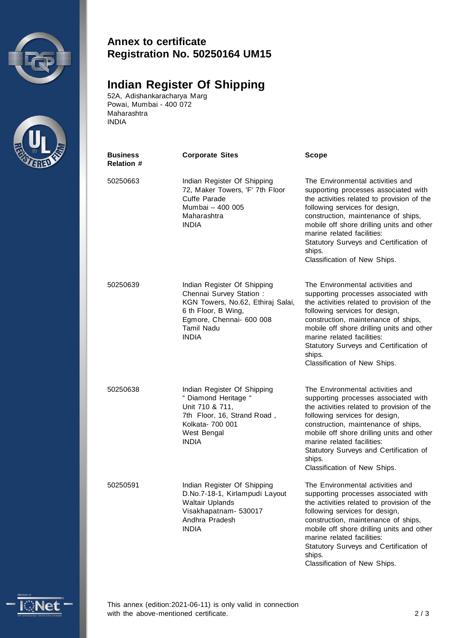



#### **Annex to certificate Registration No. 50250164 UM15**

### **Indian Register Of Shipping**

52A, Adishankaracharya Marg Powai, Mumbai - 400 072 Maharashtra INDIA

| Business<br><b>Relation #</b> | <b>Corporate Sites</b>                                                                                                                                                              | Scope                                                                                                                                                                                                                                                                                                                                                          |
|-------------------------------|-------------------------------------------------------------------------------------------------------------------------------------------------------------------------------------|----------------------------------------------------------------------------------------------------------------------------------------------------------------------------------------------------------------------------------------------------------------------------------------------------------------------------------------------------------------|
| 50250663                      | Indian Register Of Shipping<br>72, Maker Towers, 'F' 7th Floor<br>Cuffe Parade<br>Mumbai - 400 005<br>Maharashtra<br><b>INDIA</b>                                                   | The Environmental activities and<br>supporting processes associated with<br>the activities related to provision of the<br>following services for design,<br>construction, maintenance of ships,<br>mobile off shore drilling units and other<br>marine related facilities:<br>Statutory Surveys and Certification of<br>ships.<br>Classification of New Ships. |
| 50250639                      | Indian Register Of Shipping<br>Chennai Survey Station:<br>KGN Towers, No.62, Ethiraj Salai,<br>6 th Floor, B Wing,<br>Egmore, Chennai- 600 008<br><b>Tamil Nadu</b><br><b>INDIA</b> | The Environmental activities and<br>supporting processes associated with<br>the activities related to provision of the<br>following services for design,<br>construction, maintenance of ships,<br>mobile off shore drilling units and other<br>marine related facilities:<br>Statutory Surveys and Certification of<br>ships.<br>Classification of New Ships. |
| 50250638                      | Indian Register Of Shipping<br>" Diamond Heritage "<br>Unit 710 & 711,<br>7th Floor, 16, Strand Road,<br>Kolkata- 700 001<br>West Bengal<br><b>INDIA</b>                            | The Environmental activities and<br>supporting processes associated with<br>the activities related to provision of the<br>following services for design,<br>construction, maintenance of ships,<br>mobile off shore drilling units and other<br>marine related facilities:<br>Statutory Surveys and Certification of<br>ships.<br>Classification of New Ships. |
| 50250591                      | Indian Register Of Shipping<br>D.No.7-18-1, Kirlampudi Layout<br><b>Waltair Uplands</b><br>Visakhapatnam- 530017<br>Andhra Pradesh<br><b>INDIA</b>                                  | The Environmental activities and<br>supporting processes associated with<br>the activities related to provision of the<br>following services for design,<br>construction, maintenance of ships,<br>mobile off shore drilling units and other<br>marine related facilities:<br>Statutory Surveys and Certification of<br>ships.<br>Classification of New Ships. |



This annex (edition:2021-06-11) is only valid in connection with the above-mentioned certificate. 2/3